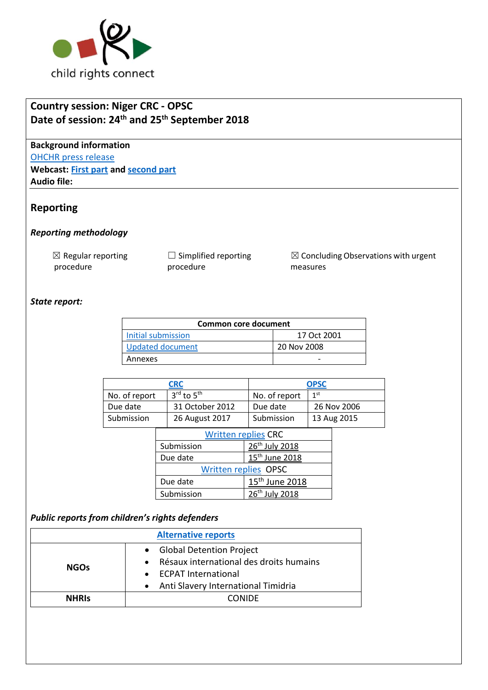

# **Country session: Niger CRC - OPSC Date of session: 24th and 25th September 2018**

**Background information** [OHCHR press release](https://www.unog.ch/unog/website/news_media.nsf/(httpNewsByYear_en)/CA03F9441FB51978C1258313004778A5?OpenDocument) **Webcast: [First part](http://webtv.un.org/search/consideration-of-niger-contd-2322nd-meeting-79th-session-committee-on-the-rights-of-the-child/5839660624001/?term=crc&sort=date&page=2) and [second part](http://webtv.un.org/search/consideration-of-niger-opsc-2323rd-meeting-79th-session-committee-on-the-rights-of-the-child/5840478932001/?term=crc&sort=date&page=2) Audio file:** 

## **Reporting**

#### *Reporting methodology*

 $\boxtimes$  Regular reporting procedure

 $\Box$  Simplified reporting procedure

☒ Concluding Observations with urgent measures

## *State report:*

| Common core document    |             |  |  |
|-------------------------|-------------|--|--|
| Initial submission      | 17 Oct 2001 |  |  |
| <b>Updated document</b> | 20 Nov 2008 |  |  |
| Annexes                 |             |  |  |

|                             | <b>CRC</b>             |                            | <b>OPSC</b>     |             |
|-----------------------------|------------------------|----------------------------|-----------------|-------------|
| No. of report               | 3rd to 5 <sup>th</sup> | No. of report              | 1 <sup>st</sup> |             |
| Due date                    | 31 October 2012        | Due date                   |                 | 26 Nov 2006 |
| Submission                  | 26 August 2017         | Submission                 |                 | 13 Aug 2015 |
| <b>Written replies CRC</b>  |                        |                            |                 |             |
|                             | Submission             | 26 <sup>th</sup> July 2018 |                 |             |
|                             | Due date               | 15 <sup>th</sup> June 2018 |                 |             |
| <b>Written replies OPSC</b> |                        |                            |                 |             |
|                             | Due date               | 15 <sup>th</sup> June 2018 |                 |             |
|                             | Submission             | 26th July 2018             |                 |             |

### *Public reports from children's rights defenders*

| <b>Alternative reports</b> |                                                                                         |  |
|----------------------------|-----------------------------------------------------------------------------------------|--|
| <b>NGOs</b>                | <b>Global Detention Project</b><br>Résaux international des droits humains<br>$\bullet$ |  |
|                            | • ECPAT International<br>Anti Slavery International Timidria<br>$\bullet$               |  |
| <b>NHRIS</b>               | <b>CONIDE</b>                                                                           |  |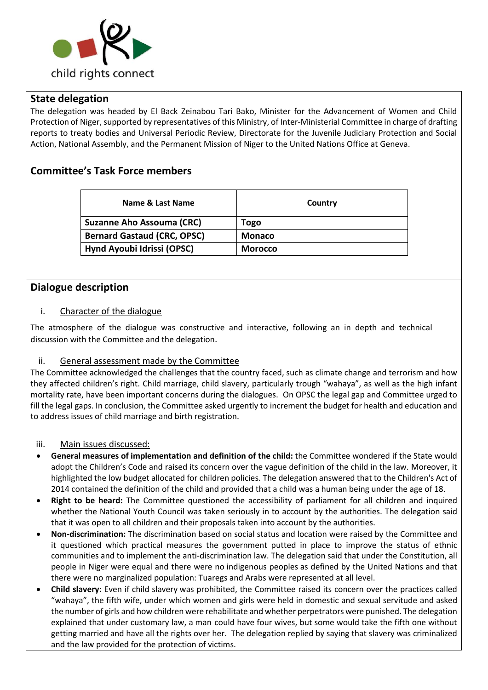

## **State delegation**

The delegation was headed by El Back Zeinabou Tari Bako, Minister for the Advancement of Women and Child Protection of Niger, supported by representatives of this Ministry, of Inter-Ministerial Committee in charge of drafting reports to treaty bodies and Universal Periodic Review, Directorate for the Juvenile Judiciary Protection and Social Action, National Assembly, and the Permanent Mission of Niger to the United Nations Office at Geneva.

## **Committee's Task Force members**

| Name & Last Name                   | Country        |
|------------------------------------|----------------|
| <b>Suzanne Aho Assouma (CRC)</b>   | Togo           |
| <b>Bernard Gastaud (CRC, OPSC)</b> | <b>Monaco</b>  |
| Hynd Ayoubi Idrissi (OPSC)         | <b>Morocco</b> |

## **Dialogue description**

#### i. Character of the dialogue

The atmosphere of the dialogue was constructive and interactive, following an in depth and technical discussion with the Committee and the delegation.

### ii. General assessment made by the Committee

The Committee acknowledged the challenges that the country faced, such as climate change and terrorism and how they affected children's right. Child marriage, child slavery, particularly trough "wahaya", as well as the high infant mortality rate, have been important concerns during the dialogues. On OPSC the legal gap and Committee urged to fill the legal gaps. In conclusion, the Committee asked urgently to increment the budget for health and education and to address issues of child marriage and birth registration.

#### iii. Main issues discussed:

- **General measures of implementation and definition of the child:** the Committee wondered if the State would adopt the Children's Code and raised its concern over the vague definition of the child in the law. Moreover, it highlighted the low budget allocated for children policies. The delegation answered that to the Children's Act of 2014 contained the definition of the child and provided that a child was a human being under the age of 18.
- **Right to be heard:** The Committee questioned the accessibility of parliament for all children and inquired whether the National Youth Council was taken seriously in to account by the authorities. The delegation said that it was open to all children and their proposals taken into account by the authorities.
- **Non-discrimination:** The discrimination based on social status and location were raised by the Committee and it questioned which practical measures the government putted in place to improve the status of ethnic communities and to implement the anti-discrimination law. The delegation said that under the Constitution, all people in Niger were equal and there were no indigenous peoples as defined by the United Nations and that there were no marginalized population: Tuaregs and Arabs were represented at all level.
- **Child slavery:** Even if child slavery was prohibited, the Committee raised its concern over the practices called "wahaya", the fifth wife, under which women and girls were held in domestic and sexual servitude and asked the number of girls and how children were rehabilitate and whether perpetrators were punished. The delegation explained that under customary law, a man could have four wives, but some would take the fifth one without getting married and have all the rights over her. The delegation replied by saying that slavery was criminalized and the law provided for the protection of victims.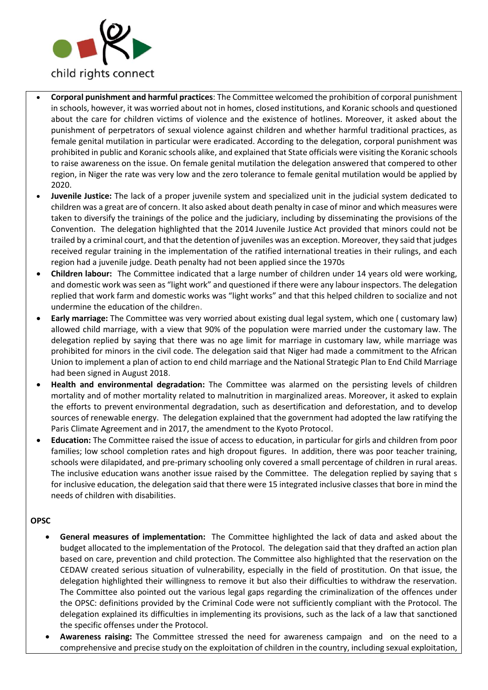

- **Corporal punishment and harmful practices**: The Committee welcomed the prohibition of corporal punishment in schools, however, it was worried about not in homes, closed institutions, and Koranic schools and questioned about the care for children victims of violence and the existence of hotlines. Moreover, it asked about the punishment of perpetrators of sexual violence against children and whether harmful traditional practices, as female genital mutilation in particular were eradicated. According to the delegation, corporal punishment was prohibited in public and Koranic schools alike, and explained that State officials were visiting the Koranic schools to raise awareness on the issue. On female genital mutilation the delegation answered that compered to other region, in Niger the rate was very low and the zero tolerance to female genital mutilation would be applied by 2020.
- **Juvenile Justice:** The lack of a proper juvenile system and specialized unit in the judicial system dedicated to children was a great are of concern. It also asked about death penalty in case of minor and which measures were taken to diversify the trainings of the police and the judiciary, including by disseminating the provisions of the Convention. The delegation highlighted that the 2014 Juvenile Justice Act provided that minors could not be trailed by a criminal court, and that the detention of juveniles was an exception. Moreover, they said that judges received regular training in the implementation of the ratified international treaties in their rulings, and each region had a juvenile judge. Death penalty had not been applied since the 1970s
- **Children labour:** The Committee indicated that a large number of children under 14 years old were working, and domestic work was seen as "light work" and questioned if there were any labour inspectors. The delegation replied that work farm and domestic works was "light works" and that this helped children to socialize and not undermine the education of the children.
- **Early marriage:** The Committee was very worried about existing dual legal system, which one ( customary law) allowed child marriage, with a view that 90% of the population were married under the customary law. The delegation replied by saying that there was no age limit for marriage in customary law, while marriage was prohibited for minors in the civil code. The delegation said that Niger had made a commitment to the African Union to implement a plan of action to end child marriage and the National Strategic Plan to End Child Marriage had been signed in August 2018.
- **Health and environmental degradation:** The Committee was alarmed on the persisting levels of children mortality and of mother mortality related to malnutrition in marginalized areas. Moreover, it asked to explain the efforts to prevent environmental degradation, such as desertification and deforestation, and to develop sources of renewable energy. The delegation explained that the government had adopted the law ratifying the Paris Climate Agreement and in 2017, the amendment to the Kyoto Protocol.
- **Education:** The Committee raised the issue of access to education, in particular for girls and children from poor families; low school completion rates and high dropout figures. In addition, there was poor teacher training, schools were dilapidated, and pre-primary schooling only covered a small percentage of children in rural areas. The inclusive education wans another issue raised by the Committee. The delegation replied by saying that s for inclusive education, the delegation said that there were 15 integrated inclusive classes that bore in mind the needs of children with disabilities.

#### **OPSC**

- **General measures of implementation:** The Committee highlighted the lack of data and asked about the budget allocated to the implementation of the Protocol. The delegation said that they drafted an action plan based on care, prevention and child protection. The Committee also highlighted that the reservation on the CEDAW created serious situation of vulnerability, especially in the field of prostitution. On that issue, the delegation highlighted their willingness to remove it but also their difficulties to withdraw the reservation. The Committee also pointed out the various legal gaps regarding the criminalization of the offences under the OPSC: definitions provided by the Criminal Code were not sufficiently compliant with the Protocol. The delegation explained its difficulties in implementing its provisions, such as the lack of a law that sanctioned the specific offenses under the Protocol.
- **Awareness raising:** The Committee stressed the need for awareness campaign and on the need to a comprehensive and precise study on the exploitation of children in the country, including sexual exploitation,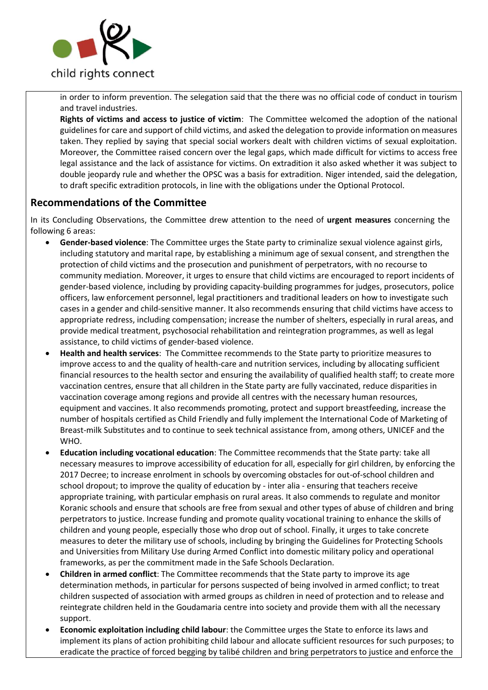

in order to inform prevention. The selegation said that the there was no official code of conduct in tourism and travel industries.

**Rights of victims and access to justice of victim**: The Committee welcomed the adoption of the national guidelines for care and support of child victims, and asked the delegation to provide information on measures taken. They replied by saying that special social workers dealt with children victims of sexual exploitation. Moreover, the Committee raised concern over the legal gaps, which made difficult for victims to access free legal assistance and the lack of assistance for victims. On extradition it also asked whether it was subject to double jeopardy rule and whether the OPSC was a basis for extradition. Niger intended, said the delegation, to draft specific extradition protocols, in line with the obligations under the Optional Protocol.

## **Recommendations of the Committee**

In its Concluding Observations, the Committee drew attention to the need of **urgent measures** concerning the following 6 areas:

- **Gender-based violence**: The Committee urges the State party to criminalize sexual violence against girls, including statutory and marital rape, by establishing a minimum age of sexual consent, and strengthen the protection of child victims and the prosecution and punishment of perpetrators, with no recourse to community mediation. Moreover, it urges to ensure that child victims are encouraged to report incidents of gender-based violence, including by providing capacity-building programmes for judges, prosecutors, police officers, law enforcement personnel, legal practitioners and traditional leaders on how to investigate such cases in a gender and child-sensitive manner. It also recommends ensuring that child victims have access to appropriate redress, including compensation; increase the number of shelters, especially in rural areas, and provide medical treatment, psychosocial rehabilitation and reintegration programmes, as well as legal assistance, to child victims of gender-based violence.
- **Health and health services**: The Committee recommends to the State party to prioritize measures to improve access to and the quality of health-care and nutrition services, including by allocating sufficient financial resources to the health sector and ensuring the availability of qualified health staff; to create more vaccination centres, ensure that all children in the State party are fully vaccinated, reduce disparities in vaccination coverage among regions and provide all centres with the necessary human resources, equipment and vaccines. It also recommends promoting, protect and support breastfeeding, increase the number of hospitals certified as Child Friendly and fully implement the International Code of Marketing of Breast-milk Substitutes and to continue to seek technical assistance from, among others, UNICEF and the WHO.
- **Education including vocational education**: The Committee recommends that the State party: take all necessary measures to improve accessibility of education for all, especially for girl children, by enforcing the 2017 Decree; to increase enrolment in schools by overcoming obstacles for out-of-school children and school dropout; to improve the quality of education by - inter alia - ensuring that teachers receive appropriate training, with particular emphasis on rural areas. It also commends to regulate and monitor Koranic schools and ensure that schools are free from sexual and other types of abuse of children and bring perpetrators to justice. Increase funding and promote quality vocational training to enhance the skills of children and young people, especially those who drop out of school. Finally, it urges to take concrete measures to deter the military use of schools, including by bringing the Guidelines for Protecting Schools and Universities from Military Use during Armed Conflict into domestic military policy and operational frameworks, as per the commitment made in the Safe Schools Declaration.
- **Children in armed conflict**: The Committee recommends that the State party to improve its age determination methods, in particular for persons suspected of being involved in armed conflict; to treat children suspected of association with armed groups as children in need of protection and to release and reintegrate children held in the Goudamaria centre into society and provide them with all the necessary support.
- **Economic exploitation including child labour**: the Committee urges the State to enforce its laws and implement its plans of action prohibiting child labour and allocate sufficient resources for such purposes; to eradicate the practice of forced begging by talibé children and bring perpetrators to justice and enforce the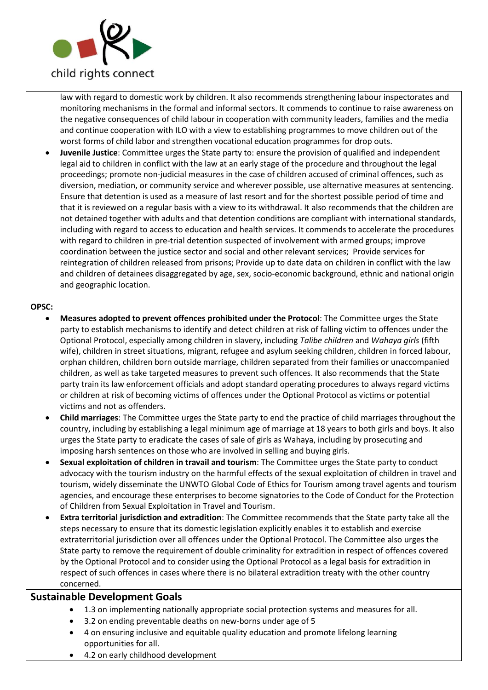

law with regard to domestic work by children. It also recommends strengthening labour inspectorates and monitoring mechanisms in the formal and informal sectors. It commends to continue to raise awareness on the negative consequences of child labour in cooperation with community leaders, families and the media and continue cooperation with ILO with a view to establishing programmes to move children out of the worst forms of child labor and strengthen vocational education programmes for drop outs.

• **Juvenile Justice**: Committee urges the State party to: ensure the provision of qualified and independent legal aid to children in conflict with the law at an early stage of the procedure and throughout the legal proceedings; promote non-judicial measures in the case of children accused of criminal offences, such as diversion, mediation, or community service and wherever possible, use alternative measures at sentencing. Ensure that detention is used as a measure of last resort and for the shortest possible period of time and that it is reviewed on a regular basis with a view to its withdrawal. It also recommends that the children are not detained together with adults and that detention conditions are compliant with international standards, including with regard to access to education and health services. It commends to accelerate the procedures with regard to children in pre-trial detention suspected of involvement with armed groups; improve coordination between the justice sector and social and other relevant services; Provide services for reintegration of children released from prisons; Provide up to date data on children in conflict with the law and children of detainees disaggregated by age, sex, socio-economic background, ethnic and national origin and geographic location.

#### **OPSC:**

- **Measures adopted to prevent offences prohibited under the Protocol**: The Committee urges the State party to establish mechanisms to identify and detect children at risk of falling victim to offences under the Optional Protocol, especially among children in slavery, including *Talibe children* and *Wahaya girls* (fifth wife), children in street situations, migrant, refugee and asylum seeking children, children in forced labour, orphan children, children born outside marriage, children separated from their families or unaccompanied children, as well as take targeted measures to prevent such offences. It also recommends that the State party train its law enforcement officials and adopt standard operating procedures to always regard victims or children at risk of becoming victims of offences under the Optional Protocol as victims or potential victims and not as offenders.
- **Child marriages**: The Committee urges the State party to end the practice of child marriages throughout the country, including by establishing a legal minimum age of marriage at 18 years to both girls and boys. It also urges the State party to eradicate the cases of sale of girls as Wahaya, including by prosecuting and imposing harsh sentences on those who are involved in selling and buying girls.
- **Sexual exploitation of children in travail and tourism**: The Committee urges the State party to conduct advocacy with the tourism industry on the harmful effects of the sexual exploitation of children in travel and tourism, widely disseminate the UNWTO Global Code of Ethics for Tourism among travel agents and tourism agencies, and encourage these enterprises to become signatories to the Code of Conduct for the Protection of Children from Sexual Exploitation in Travel and Tourism.
- **Extra territorial jurisdiction and extradition**: The Committee recommends that the State party take all the steps necessary to ensure that its domestic legislation explicitly enables it to establish and exercise extraterritorial jurisdiction over all offences under the Optional Protocol. The Committee also urges the State party to remove the requirement of double criminality for extradition in respect of offences covered by the Optional Protocol and to consider using the Optional Protocol as a legal basis for extradition in respect of such offences in cases where there is no bilateral extradition treaty with the other country concerned.

### **Sustainable Development Goals**

- 1.3 on implementing nationally appropriate social protection systems and measures for all.
- 3.2 on ending preventable deaths on new-borns under age of 5
- 4 on ensuring inclusive and equitable quality education and promote lifelong learning opportunities for all.
- 4.2 on early childhood development